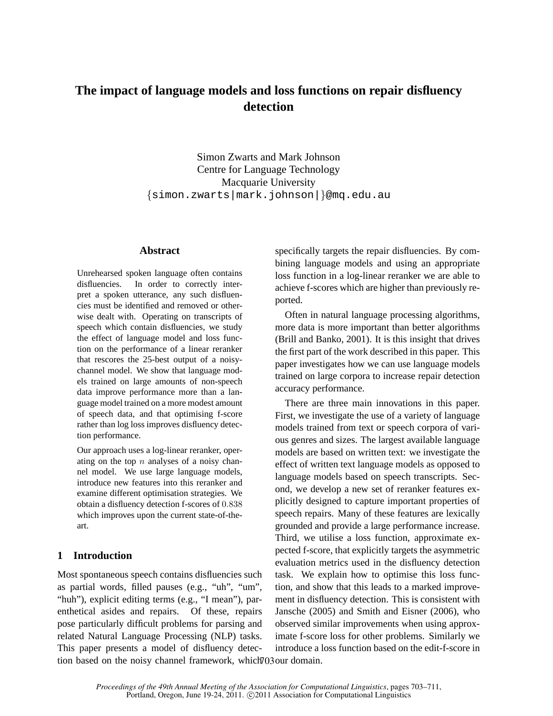# **The impact of language models and loss functions on repair disfluency detection**

Simon Zwarts and Mark Johnson Centre for Language Technology Macquarie University {simon.zwarts|mark.johnson|}@mq.edu.au

## **Abstract**

Unrehearsed spoken language often contains disfluencies. In order to correctly interpret a spoken utterance, any such disfluencies must be identified and removed or otherwise dealt with. Operating on transcripts of speech which contain disfluencies, we study the effect of language model and loss function on the performance of a linear reranker that rescores the 25-best output of a noisychannel model. We show that language models trained on large amounts of non-speech data improve performance more than a language model trained on a more modest amount of speech data, and that optimising f-score rather than log loss improves disfluency detection performance.

Our approach uses a log-linear reranker, operating on the top  $n$  analyses of a noisy channel model. We use large language models, introduce new features into this reranker and examine different optimisation strategies. We obtain a disfluency detection f-scores of 0.838 which improves upon the current state-of-theart.

# **1 Introduction**

Most spontaneous speech contains disfluencies such as partial words, filled pauses (e.g., "uh", "um", "huh"), explicit editing terms (e.g., "I mean"), parenthetical asides and repairs. Of these, repairs pose particularly difficult problems for parsing and related Natural Language Processing (NLP) tasks. This paper presents a model of disfluency detection based on the noisy channel framework, which 703 our domain.

specifically targets the repair disfluencies. By combining language models and using an appropriate loss function in a log-linear reranker we are able to achieve f-scores which are higher than previously reported.

Often in natural language processing algorithms, more data is more important than better algorithms (Brill and Banko, 2001). It is this insight that drives the first part of the work described in this paper. This paper investigates how we can use language models trained on large corpora to increase repair detection accuracy performance.

There are three main innovations in this paper. First, we investigate the use of a variety of language models trained from text or speech corpora of various genres and sizes. The largest available language models are based on written text: we investigate the effect of written text language models as opposed to language models based on speech transcripts. Second, we develop a new set of reranker features explicitly designed to capture important properties of speech repairs. Many of these features are lexically grounded and provide a large performance increase. Third, we utilise a loss function, approximate expected f-score, that explicitly targets the asymmetric evaluation metrics used in the disfluency detection task. We explain how to optimise this loss function, and show that this leads to a marked improvement in disfluency detection. This is consistent with Jansche (2005) and Smith and Eisner (2006), who observed similar improvements when using approximate f-score loss for other problems. Similarly we introduce a loss function based on the edit-f-score in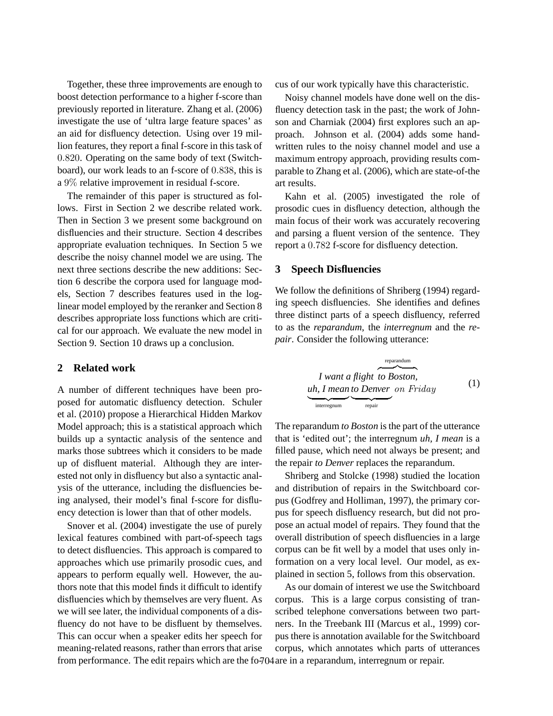Together, these three improvements are enough to boost detection performance to a higher f-score than previously reported in literature. Zhang et al. (2006) investigate the use of 'ultra large feature spaces' as an aid for disfluency detection. Using over 19 million features, they report a final f-score in this task of 0.820. Operating on the same body of text (Switchboard), our work leads to an f-score of 0.838, this is a 9% relative improvement in residual f-score.

The remainder of this paper is structured as follows. First in Section 2 we describe related work. Then in Section 3 we present some background on disfluencies and their structure. Section 4 describes appropriate evaluation techniques. In Section 5 we describe the noisy channel model we are using. The next three sections describe the new additions: Section 6 describe the corpora used for language models, Section 7 describes features used in the loglinear model employed by the reranker and Section 8 describes appropriate loss functions which are critical for our approach. We evaluate the new model in Section 9. Section 10 draws up a conclusion.

# **2 Related work**

A number of different techniques have been proposed for automatic disfluency detection. Schuler et al. (2010) propose a Hierarchical Hidden Markov Model approach; this is a statistical approach which builds up a syntactic analysis of the sentence and marks those subtrees which it considers to be made up of disfluent material. Although they are interested not only in disfluency but also a syntactic analysis of the utterance, including the disfluencies being analysed, their model's final f-score for disfluency detection is lower than that of other models.

Snover et al. (2004) investigate the use of purely lexical features combined with part-of-speech tags to detect disfluencies. This approach is compared to approaches which use primarily prosodic cues, and appears to perform equally well. However, the authors note that this model finds it difficult to identify disfluencies which by themselves are very fluent. As we will see later, the individual components of a disfluency do not have to be disfluent by themselves. This can occur when a speaker edits her speech for meaning-related reasons, rather than errors that arise from performance. The edit repairs which are the fo-704 are in a reparandum, interregnum or repair.

cus of our work typically have this characteristic.

Noisy channel models have done well on the disfluency detection task in the past; the work of Johnson and Charniak (2004) first explores such an approach. Johnson et al. (2004) adds some handwritten rules to the noisy channel model and use a maximum entropy approach, providing results comparable to Zhang et al. (2006), which are state-of-the art results.

Kahn et al. (2005) investigated the role of prosodic cues in disfluency detection, although the main focus of their work was accurately recovering and parsing a fluent version of the sentence. They report a 0.782 f-score for disfluency detection.

#### **3 Speech Disfluencies**

We follow the definitions of Shriberg (1994) regarding speech disfluencies. She identifies and defines three distinct parts of a speech disfluency, referred to as the *reparandum*, the *interregnum* and the *repair*. Consider the following utterance:

*I want a flight* reparandum z }| { *to Boston, uh, I mean* | {z } interregnum *to Denver* | {z } repair on Friday (1)

The reparandum *to Boston* is the part of the utterance that is 'edited out'; the interregnum *uh, I mean* is a filled pause, which need not always be present; and the repair *to Denver* replaces the reparandum.

Shriberg and Stolcke (1998) studied the location and distribution of repairs in the Switchboard corpus (Godfrey and Holliman, 1997), the primary corpus for speech disfluency research, but did not propose an actual model of repairs. They found that the overall distribution of speech disfluencies in a large corpus can be fit well by a model that uses only information on a very local level. Our model, as explained in section 5, follows from this observation.

As our domain of interest we use the Switchboard corpus. This is a large corpus consisting of transcribed telephone conversations between two partners. In the Treebank III (Marcus et al., 1999) corpus there is annotation available for the Switchboard corpus, which annotates which parts of utterances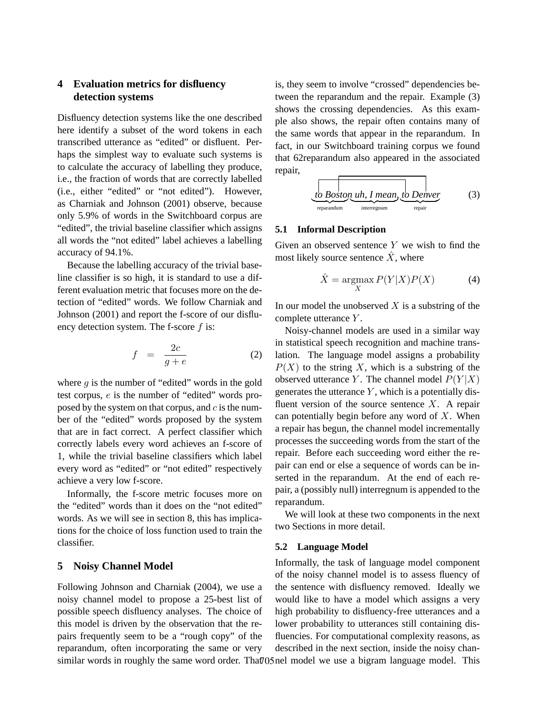# **4 Evaluation metrics for disfluency detection systems**

Disfluency detection systems like the one described here identify a subset of the word tokens in each transcribed utterance as "edited" or disfluent. Perhaps the simplest way to evaluate such systems is to calculate the accuracy of labelling they produce, i.e., the fraction of words that are correctly labelled (i.e., either "edited" or "not edited"). However, as Charniak and Johnson (2001) observe, because only 5.9% of words in the Switchboard corpus are "edited", the trivial baseline classifier which assigns all words the "not edited" label achieves a labelling accuracy of 94.1%.

Because the labelling accuracy of the trivial baseline classifier is so high, it is standard to use a different evaluation metric that focuses more on the detection of "edited" words. We follow Charniak and Johnson (2001) and report the f-score of our disfluency detection system. The f-score  $f$  is:

$$
f = \frac{2c}{g+e} \tag{2}
$$

where  $g$  is the number of "edited" words in the gold test corpus, e is the number of "edited" words proposed by the system on that corpus, and  $c$  is the number of the "edited" words proposed by the system that are in fact correct. A perfect classifier which correctly labels every word achieves an f-score of 1, while the trivial baseline classifiers which label every word as "edited" or "not edited" respectively achieve a very low f-score.

Informally, the f-score metric focuses more on the "edited" words than it does on the "not edited" words. As we will see in section 8, this has implications for the choice of loss function used to train the classifier.

# **5 Noisy Channel Model**

Following Johnson and Charniak (2004), we use a noisy channel model to propose a 25-best list of possible speech disfluency analyses. The choice of this model is driven by the observation that the repairs frequently seem to be a "rough copy" of the reparandum, often incorporating the same or very similar words in roughly the same word order. That 05 nel model we use a bigram language model. This

is, they seem to involve "crossed" dependencies between the reparandum and the repair. Example (3) shows the crossing dependencies. As this example also shows, the repair often contains many of the same words that appear in the reparandum. In fact, in our Switchboard training corpus we found that 62reparandum also appeared in the associated repair,

$$
\underbrace{\fbox{to Boston}\underbrace{\hbox{uh, I mean}}_{\text{interregnum}}, \underbrace{\hbox{to Denver}}_{\text{repair}}}\tag{3}
$$

#### **5.1 Informal Description**

Given an observed sentence  $Y$  we wish to find the most likely source sentence  $\hat{X}$ , where

$$
\hat{X} = \operatorname*{argmax}_{X} P(Y|X)P(X) \tag{4}
$$

In our model the unobserved  $X$  is a substring of the complete utterance Y .

Noisy-channel models are used in a similar way in statistical speech recognition and machine translation. The language model assigns a probability  $P(X)$  to the string X, which is a substring of the observed utterance Y. The channel model  $P(Y|X)$ generates the utterance  $Y$ , which is a potentially disfluent version of the source sentence  $X$ . A repair can potentially begin before any word of  $X$ . When a repair has begun, the channel model incrementally processes the succeeding words from the start of the repair. Before each succeeding word either the repair can end or else a sequence of words can be inserted in the reparandum. At the end of each repair, a (possibly null) interregnum is appended to the reparandum.

We will look at these two components in the next two Sections in more detail.

#### **5.2 Language Model**

Informally, the task of language model component of the noisy channel model is to assess fluency of the sentence with disfluency removed. Ideally we would like to have a model which assigns a very high probability to disfluency-free utterances and a lower probability to utterances still containing disfluencies. For computational complexity reasons, as described in the next section, inside the noisy chan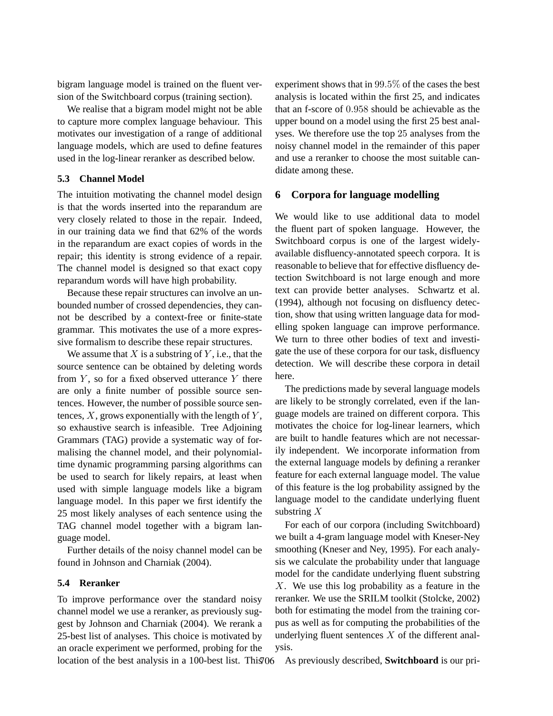bigram language model is trained on the fluent version of the Switchboard corpus (training section).

We realise that a bigram model might not be able to capture more complex language behaviour. This motivates our investigation of a range of additional language models, which are used to define features used in the log-linear reranker as described below.

## **5.3 Channel Model**

The intuition motivating the channel model design is that the words inserted into the reparandum are very closely related to those in the repair. Indeed, in our training data we find that 62% of the words in the reparandum are exact copies of words in the repair; this identity is strong evidence of a repair. The channel model is designed so that exact copy reparandum words will have high probability.

Because these repair structures can involve an unbounded number of crossed dependencies, they cannot be described by a context-free or finite-state grammar. This motivates the use of a more expressive formalism to describe these repair structures.

We assume that  $X$  is a substring of  $Y$ , i.e., that the source sentence can be obtained by deleting words from  $Y$ , so for a fixed observed utterance  $Y$  there are only a finite number of possible source sentences. However, the number of possible source sentences,  $X$ , grows exponentially with the length of  $Y$ , so exhaustive search is infeasible. Tree Adjoining Grammars (TAG) provide a systematic way of formalising the channel model, and their polynomialtime dynamic programming parsing algorithms can be used to search for likely repairs, at least when used with simple language models like a bigram language model. In this paper we first identify the 25 most likely analyses of each sentence using the TAG channel model together with a bigram language model.

Further details of the noisy channel model can be found in Johnson and Charniak (2004).

#### **5.4 Reranker**

To improve performance over the standard noisy channel model we use a reranker, as previously suggest by Johnson and Charniak (2004). We rerank a 25-best list of analyses. This choice is motivated by an oracle experiment we performed, probing for the experiment shows that in 99.5% of the cases the best analysis is located within the first 25, and indicates that an f-score of 0.958 should be achievable as the upper bound on a model using the first 25 best analyses. We therefore use the top 25 analyses from the noisy channel model in the remainder of this paper and use a reranker to choose the most suitable candidate among these.

#### **6 Corpora for language modelling**

We would like to use additional data to model the fluent part of spoken language. However, the Switchboard corpus is one of the largest widelyavailable disfluency-annotated speech corpora. It is reasonable to believe that for effective disfluency detection Switchboard is not large enough and more text can provide better analyses. Schwartz et al. (1994), although not focusing on disfluency detection, show that using written language data for modelling spoken language can improve performance. We turn to three other bodies of text and investigate the use of these corpora for our task, disfluency detection. We will describe these corpora in detail here.

The predictions made by several language models are likely to be strongly correlated, even if the language models are trained on different corpora. This motivates the choice for log-linear learners, which are built to handle features which are not necessarily independent. We incorporate information from the external language models by defining a reranker feature for each external language model. The value of this feature is the log probability assigned by the language model to the candidate underlying fluent substring  $X$ 

For each of our corpora (including Switchboard) we built a 4-gram language model with Kneser-Ney smoothing (Kneser and Ney, 1995). For each analysis we calculate the probability under that language model for the candidate underlying fluent substring X. We use this log probability as a feature in the reranker. We use the SRILM toolkit (Stolcke, 2002) both for estimating the model from the training corpus as well as for computing the probabilities of the underlying fluent sentences  $X$  of the different analysis.

location of the best analysis in a 100-best list. This 706 As previously described, **Switchboard** is our pri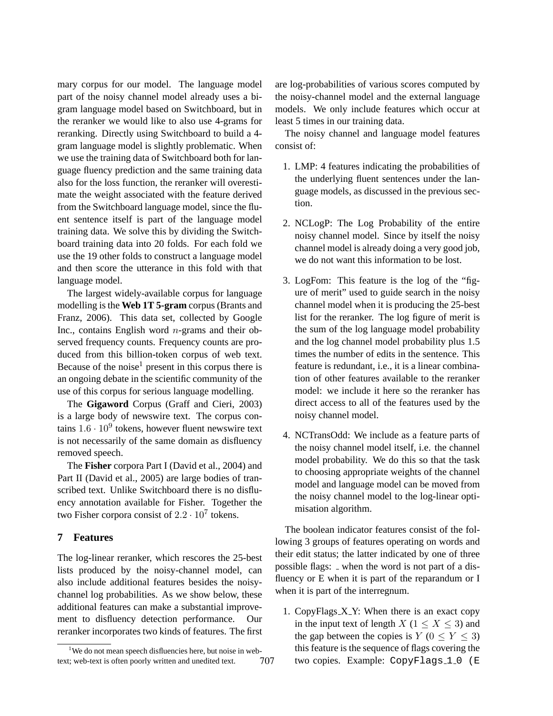mary corpus for our model. The language model part of the noisy channel model already uses a bigram language model based on Switchboard, but in the reranker we would like to also use 4-grams for reranking. Directly using Switchboard to build a 4 gram language model is slightly problematic. When we use the training data of Switchboard both for language fluency prediction and the same training data also for the loss function, the reranker will overestimate the weight associated with the feature derived from the Switchboard language model, since the fluent sentence itself is part of the language model training data. We solve this by dividing the Switchboard training data into 20 folds. For each fold we use the 19 other folds to construct a language model and then score the utterance in this fold with that language model.

The largest widely-available corpus for language modelling is the **Web 1T 5-gram** corpus (Brants and Franz, 2006). This data set, collected by Google Inc., contains English word  $n$ -grams and their observed frequency counts. Frequency counts are produced from this billion-token corpus of web text. Because of the noise<sup>1</sup> present in this corpus there is an ongoing debate in the scientific community of the use of this corpus for serious language modelling.

The **Gigaword** Corpus (Graff and Cieri, 2003) is a large body of newswire text. The corpus contains  $1.6 \cdot 10^9$  tokens, however fluent newswire text is not necessarily of the same domain as disfluency removed speech.

The **Fisher** corpora Part I (David et al., 2004) and Part II (David et al., 2005) are large bodies of transcribed text. Unlike Switchboard there is no disfluency annotation available for Fisher. Together the two Fisher corpora consist of  $2.2 \cdot 10^7$  tokens.

# **7 Features**

The log-linear reranker, which rescores the 25-best lists produced by the noisy-channel model, can also include additional features besides the noisychannel log probabilities. As we show below, these additional features can make a substantial improvement to disfluency detection performance. Our reranker incorporates two kinds of features. The first are log-probabilities of various scores computed by the noisy-channel model and the external language models. We only include features which occur at least 5 times in our training data.

The noisy channel and language model features consist of:

- 1. LMP: 4 features indicating the probabilities of the underlying fluent sentences under the language models, as discussed in the previous section.
- 2. NCLogP: The Log Probability of the entire noisy channel model. Since by itself the noisy channel model is already doing a very good job, we do not want this information to be lost.
- 3. LogFom: This feature is the log of the "figure of merit" used to guide search in the noisy channel model when it is producing the 25-best list for the reranker. The log figure of merit is the sum of the log language model probability and the log channel model probability plus 1.5 times the number of edits in the sentence. This feature is redundant, i.e., it is a linear combination of other features available to the reranker model: we include it here so the reranker has direct access to all of the features used by the noisy channel model.
- 4. NCTransOdd: We include as a feature parts of the noisy channel model itself, i.e. the channel model probability. We do this so that the task to choosing appropriate weights of the channel model and language model can be moved from the noisy channel model to the log-linear optimisation algorithm.

The boolean indicator features consist of the following 3 groups of features operating on words and their edit status; the latter indicated by one of three possible flags: \_ when the word is not part of a disfluency or E when it is part of the reparandum or I when it is part of the interregnum.

1. CopyFlags\_X\_Y: When there is an exact copy in the input text of length  $X$  ( $1 \le X \le 3$ ) and the gap between the copies is  $Y$  ( $0 \le Y \le 3$ ) this feature is the sequence of flags covering the two copies. Example: CopyFlags\_1\_0 (E

<sup>&</sup>lt;sup>1</sup>We do not mean speech disfluencies here, but noise in webtext; web-text is often poorly written and unedited text. 707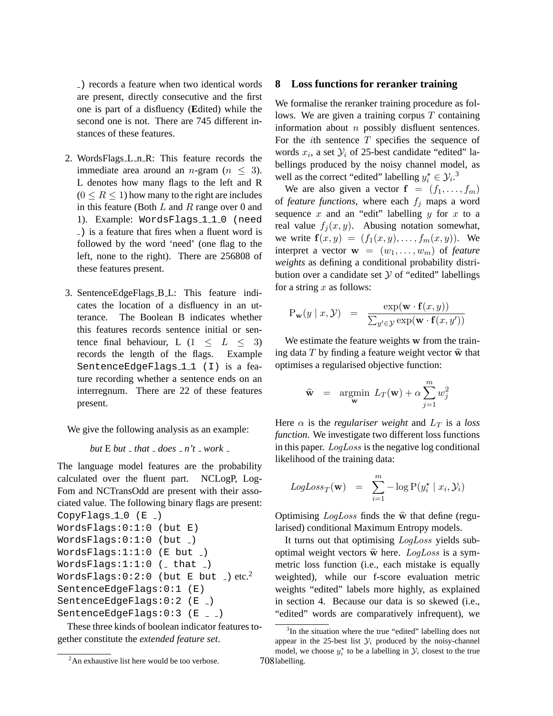) records a feature when two identical words are present, directly consecutive and the first one is part of a disfluency (**E**dited) while the second one is not. There are 745 different instances of these features.

- 2. WordsFlags L n R: This feature records the immediate area around an *n*-gram ( $n \leq 3$ ). L denotes how many flags to the left and R  $(0 \leq R \leq 1)$  how many to the right are includes in this feature (Both  $L$  and  $R$  range over 0 and 1). Example: WordsFlags\_1\_1\_0 (need ) is a feature that fires when a fluent word is followed by the word 'need' (one flag to the left, none to the right). There are 256808 of these features present.
- 3. SentenceEdgeFlags B L: This feature indicates the location of a disfluency in an utterance. The Boolean B indicates whether this features records sentence initial or sentence final behaviour, L  $(1 \leq L \leq 3)$ records the length of the flags. Example SentenceEdgeFlags\_1\_1 (I) is a feature recording whether a sentence ends on an interregnum. There are 22 of these features present.

We give the following analysis as an example:

*but*  $E$  *but*  $\theta$  *that*  $\theta$  *does*  $\theta$  *n't*  $\theta$  *work*  $\theta$ 

The language model features are the probability calculated over the fluent part. NCLogP, Log-Fom and NCTransOdd are present with their associated value. The following binary flags are present: CopyFlags $-1-0$  (E  $-$ )

```
WordsFlags:0:1:0 (but E)
WordsFlags: 0:1:0 (but _{-})
WordsFlags:1:1:0 (E but )
WordsFlags:1:1:0 (_ that _)
WordsFlags: 0:2:0 (but E but ) etc.<sup>2</sup>
SentenceEdgeFlags:0:1 (E)
SentenceEdgeFlags: 0:2 (E _)
SentenceEdgeFlags:0:3 (E _{-})
```
These three kinds of boolean indicator features together constitute the *extended feature set*.

#### **8 Loss functions for reranker training**

We formalise the reranker training procedure as follows. We are given a training corpus  $T$  containing information about  $n$  possibly disfluent sentences. For the *i*th sentence  $T$  specifies the sequence of words  $x_i$ , a set  $\mathcal{Y}_i$  of 25-best candidate "edited" labellings produced by the noisy channel model, as well as the correct "edited" labelling  $y_i^* \in \mathcal{Y}_i$ .<sup>3</sup>

We are also given a vector  $f = (f_1, \ldots, f_m)$ of *feature functions*, where each  $f_i$  maps a word sequence  $x$  and an "edit" labelling  $y$  for  $x$  to a real value  $f_i(x, y)$ . Abusing notation somewhat, we write  $f(x, y) = (f_1(x, y), \dots, f_m(x, y))$ . We interpret a vector  $\mathbf{w} = (w_1, \dots, w_m)$  of *feature weights* as defining a conditional probability distribution over a candidate set  $Y$  of "edited" labellings for a string  $x$  as follows:

$$
P_{\mathbf{w}}(y \mid x, \mathcal{Y}) = \frac{\exp(\mathbf{w} \cdot \mathbf{f}(x, y))}{\sum_{y' \in \mathcal{Y}} \exp(\mathbf{w} \cdot \mathbf{f}(x, y'))}
$$

We estimate the feature weights w from the training data  $T$  by finding a feature weight vector  $\hat{\mathbf{w}}$  that optimises a regularised objective function:

$$
\widehat{\mathbf{w}} = \underset{\mathbf{w}}{\operatorname{argmin}} L_T(\mathbf{w}) + \alpha \sum_{j=1}^{m} w_j^2
$$

Here  $\alpha$  is the *regulariser weight* and  $L_T$  is a *loss function*. We investigate two different loss functions in this paper. LogLoss is the negative log conditional likelihood of the training data:

LogLoss<sub>T</sub>(**w**) = 
$$
\sum_{i=1}^{m}
$$
 – log P( $y_i^*$  |  $x_i$ ,  $y_i$ )

Optimising  $LogLoss$  finds the  $\hat{w}$  that define (regularised) conditional Maximum Entropy models.

It turns out that optimising *LogLoss* yields suboptimal weight vectors  $\hat{w}$  here. LogLoss is a symmetric loss function (i.e., each mistake is equally weighted), while our f-score evaluation metric weights "edited" labels more highly, as explained in section 4. Because our data is so skewed (i.e., "edited" words are comparatively infrequent), we

<sup>&</sup>lt;sup>2</sup>An exhaustive list here would be too verbose.

<sup>&</sup>lt;sup>3</sup>In the situation where the true "edited" labelling does not appear in the 25-best list  $\mathcal{Y}_i$  produced by the noisy-channel model, we choose  $y_i^*$  to be a labelling in  $\mathcal{Y}_i$  closest to the true 708 labelling.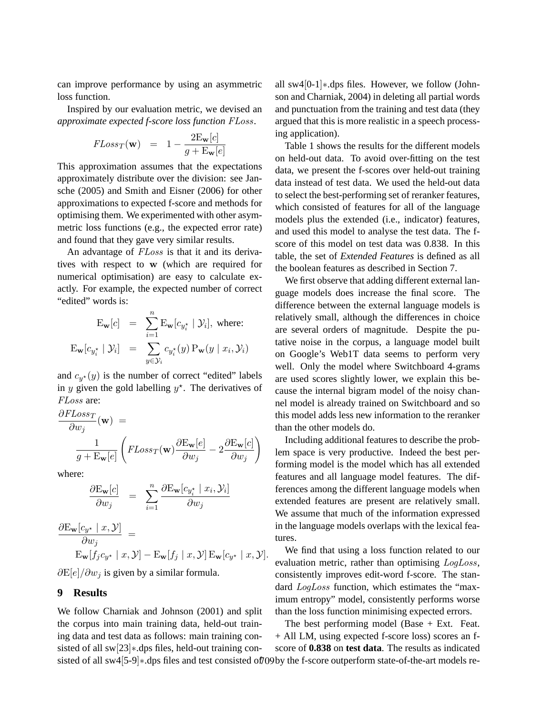can improve performance by using an asymmetric loss function.

Inspired by our evaluation metric, we devised an *approximate expected f-score loss function* FLoss.

$$
FLoss_T(\mathbf{w}) = 1 - \frac{2E_{\mathbf{w}}[c]}{g + E_{\mathbf{w}}[e]}
$$

This approximation assumes that the expectations approximately distribute over the division: see Jansche (2005) and Smith and Eisner (2006) for other approximations to expected f-score and methods for optimising them. We experimented with other asymmetric loss functions (e.g., the expected error rate) and found that they gave very similar results.

An advantage of FLoss is that it and its derivatives with respect to w (which are required for numerical optimisation) are easy to calculate exactly. For example, the expected number of correct "edited" words is:

$$
\mathbf{E}_{\mathbf{w}}[c] = \sum_{i=1}^{n} \mathbf{E}_{\mathbf{w}}[c_{y_i^*} | \mathcal{Y}_i], \text{ where:}
$$

$$
\mathbf{E}_{\mathbf{w}}[c_{y_i^*} | \mathcal{Y}_i] = \sum_{y \in \mathcal{Y}_i} c_{y_i^*}(y) \mathbf{P}_{\mathbf{w}}(y | x_i, \mathcal{Y}_i)
$$

and  $c_{y*}(y)$  is the number of correct "edited" labels in y given the gold labelling  $y^*$ . The derivatives of FLoss are:

$$
\frac{\partial FLoss_T}{\partial w_j}(\mathbf{w}) =
$$

$$
\frac{1}{g + E_w[e]} \left( FLoss_T(\mathbf{w}) \frac{\partial E_w[e]}{\partial w_j} - 2 \frac{\partial E_w[e]}{\partial w_j} \right)
$$

where:

$$
\frac{\partial \mathrm{E}_{\mathbf{w}}[c]}{\partial w_j} = \sum_{i=1}^n \frac{\partial \mathrm{E}_{\mathbf{w}}[c_{y_i^*} | x_i, y_i]}{\partial w_j}
$$

$$
\frac{\partial \mathrm{E}_{\mathbf{w}}[c_{y^*} | x, y]}{\partial w_j} =
$$

 $\mathrm{E}_{\mathbf{w}}[f_j c_{y^{\star}} \mid x, \mathcal{Y}] - \mathrm{E}_{\mathbf{w}}[f_j \mid x, \mathcal{Y}] \mathrm{E}_{\mathbf{w}}[c_{y^{\star}} \mid x, \mathcal{Y}].$  $\partial E[e]/\partial w_i$  is given by a similar formula.

## **9 Results**

We follow Charniak and Johnson (2001) and split the corpus into main training data, held-out training data and test data as follows: main training consisted of all sw[23]∗.dps files, held-out training consisted of all sw4[5-9]∗.dps files and test consisted of 709 by the f-score outperform state-of-the-art models re-

all sw4[0-1]∗.dps files. However, we follow (Johnson and Charniak, 2004) in deleting all partial words and punctuation from the training and test data (they argued that this is more realistic in a speech processing application).

Table 1 shows the results for the different models on held-out data. To avoid over-fitting on the test data, we present the f-scores over held-out training data instead of test data. We used the held-out data to select the best-performing set of reranker features, which consisted of features for all of the language models plus the extended (i.e., indicator) features, and used this model to analyse the test data. The fscore of this model on test data was 0.838. In this table, the set of *Extended Features* is defined as all the boolean features as described in Section 7.

We first observe that adding different external language models does increase the final score. The difference between the external language models is relatively small, although the differences in choice are several orders of magnitude. Despite the putative noise in the corpus, a language model built on Google's Web1T data seems to perform very well. Only the model where Switchboard 4-grams are used scores slightly lower, we explain this because the internal bigram model of the noisy channel model is already trained on Switchboard and so this model adds less new information to the reranker than the other models do.

Including additional features to describe the problem space is very productive. Indeed the best performing model is the model which has all extended features and all language model features. The differences among the different language models when extended features are present are relatively small. We assume that much of the information expressed in the language models overlaps with the lexical features.

We find that using a loss function related to our evaluation metric, rather than optimising LogLoss, consistently improves edit-word f-score. The standard LogLoss function, which estimates the "maximum entropy" model, consistently performs worse than the loss function minimising expected errors.

The best performing model (Base + Ext. Feat. + All LM, using expected f-score loss) scores an fscore of **0.838** on **test data**. The results as indicated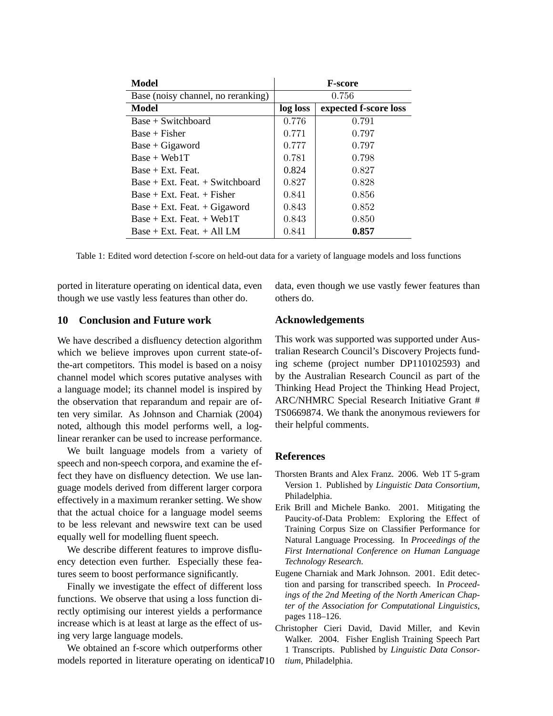| Model                               | <b>F-score</b> |                       |
|-------------------------------------|----------------|-----------------------|
| Base (noisy channel, no reranking)  | 0.756          |                       |
| Model                               | log loss       | expected f-score loss |
| $Base + Switchboard$                | 0.776          | 0.791                 |
| $Base + Fisher$                     | 0.771          | 0.797                 |
| $Base + Gigaword$                   | 0.777          | 0.797                 |
| $Base + Web1T$                      | 0.781          | 0.798                 |
| $Base + Ext.$ Feat.                 | 0.824          | 0.827                 |
| $Base + Ext.$ Feat. $+ Switchboard$ | 0.827          | 0.828                 |
| $Base + Ext.$ Feat. $+$ Fisher      | 0.841          | 0.856                 |
| $Base + Ext.$ Feat. $+ Gigaword$    | 0.843          | 0.852                 |
| $Base + Ext.$ Feat. $+ Web1T$       | 0.843          | 0.850                 |
| $Base + Ext.$ Feat. $+ All LM$      | 0.841          | 0.857                 |

Table 1: Edited word detection f-score on held-out data for a variety of language models and loss functions

ported in literature operating on identical data, even though we use vastly less features than other do.

**10 Conclusion and Future work**

We have described a disfluency detection algorithm which we believe improves upon current state-ofthe-art competitors. This model is based on a noisy channel model which scores putative analyses with a language model; its channel model is inspired by the observation that reparandum and repair are often very similar. As Johnson and Charniak (2004) noted, although this model performs well, a loglinear reranker can be used to increase performance.

We built language models from a variety of speech and non-speech corpora, and examine the effect they have on disfluency detection. We use language models derived from different larger corpora effectively in a maximum reranker setting. We show that the actual choice for a language model seems to be less relevant and newswire text can be used equally well for modelling fluent speech.

We describe different features to improve disfluency detection even further. Especially these features seem to boost performance significantly.

Finally we investigate the effect of different loss functions. We observe that using a loss function directly optimising our interest yields a performance increase which is at least at large as the effect of using very large language models.

We obtained an f-score which outperforms other models reported in literature operating on identical 710

data, even though we use vastly fewer features than others do.

## **Acknowledgements**

This work was supported was supported under Australian Research Council's Discovery Projects funding scheme (project number DP110102593) and by the Australian Research Council as part of the Thinking Head Project the Thinking Head Project, ARC/NHMRC Special Research Initiative Grant # TS0669874. We thank the anonymous reviewers for their helpful comments.

## **References**

- Thorsten Brants and Alex Franz. 2006. Web 1T 5-gram Version 1. Published by *Linguistic Data Consortium*, Philadelphia.
- Erik Brill and Michele Banko. 2001. Mitigating the Paucity-of-Data Problem: Exploring the Effect of Training Corpus Size on Classifier Performance for Natural Language Processing. In *Proceedings of the First International Conference on Human Language Technology Research*.
- Eugene Charniak and Mark Johnson. 2001. Edit detection and parsing for transcribed speech. In *Proceedings of the 2nd Meeting of the North American Chapter of the Association for Computational Linguistics*, pages 118–126.
- Christopher Cieri David, David Miller, and Kevin Walker. 2004. Fisher English Training Speech Part 1 Transcripts. Published by *Linguistic Data Consortium*, Philadelphia.